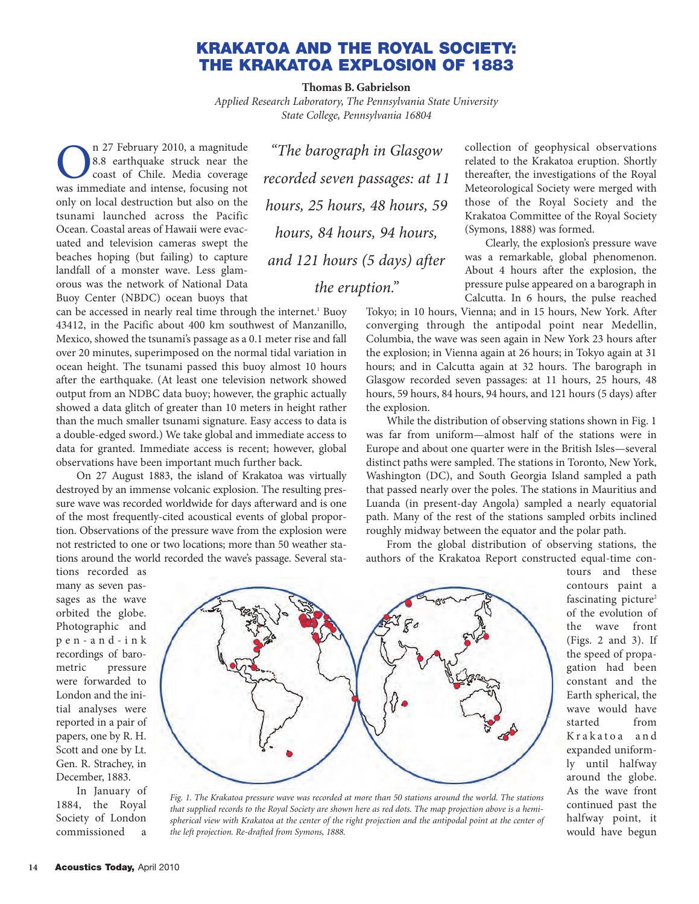## **KRAKATOA AND THE ROYAL SOCIETY: THE KRAKATOA EXPLOSION OF 1883**

**Thomas B. Gabrielson**

*Applied Research Laboratory, The Pennsylvania State University State College, Pennsylvania 16804*

**OREGE 12 February 2010, a magnitude 8.8 earthquake struck near the coast of Chile. Media coverage was immediate and intense, focusing not** 8.8 earthquake struck near the coast of Chile. Media coverage only on local destruction but also on the tsunami launched across the Pacific Ocean. Coastal areas of Hawaii were evacuated and television cameras swept the beaches hoping (but failing) to capture landfall of a monster wave. Less glamorous was the network of National Data Buoy Center (NBDC) ocean buoys that

*"The barograph in Glasgow recorded seven passages: at 11 hours, 25 hours, 48 hours, 59 hours, 84 hours, 94 hours, and 121 hours (5 days) after the eruption."*

can be accessed in nearly real time through the internet.<sup>1</sup> Buoy 43412, in the Pacific about 400 km southwest of Manzanillo, Mexico, showed the tsunami's passage as a 0.1 meter rise and fall over 20 minutes, superimposed on the normal tidal variation in ocean height. The tsunami passed this buoy almost 10 hours after the earthquake. (At least one television network showed output from an NDBC data buoy; however, the graphic actually showed a data glitch of greater than 10 meters in height rather than the much smaller tsunami signature. Easy access to data is a double-edged sword.) We take global and immediate access to data for granted. Immediate access is recent; however, global observations have been important much further back.

On 27 August 1883, the island of Krakatoa was virtually destroyed by an immense volcanic explosion. The resulting pressure wave was recorded worldwide for days afterward and is one of the most frequently-cited acoustical events of global proportion. Observations of the pressure wave from the explosion were not restricted to one or two locations; more than 50 weather stations around the world recorded the wave's passage. Several sta-

tions recorded as many as seven passages as the wave orbited the globe. Photographic and pen-and-ink recordings of barometric pressure were forwarded to London and the initial analyses were reported in a pair of papers, one by R. H. Scott and one by Lt. Gen. R. Strachey, in December, 1883.

In January of 1884, the Royal Society of London commissioned a



*Fig. 1. The Krakatoa pressure wave was recorded at more than 50 stations around the world. The stations that supplied records to the Royal Society are shown here as red dots. The map projection above is a hemispherical view with Krakatoa at the center of the right projection and the antipodal point at the center of the left projection. Re-drafted from Symons, 1888.*

collection of geophysical observations related to the Krakatoa eruption. Shortly thereafter, the investigations of the Royal Meteorological Society were merged with those of the Royal Society and the Krakatoa Committee of the Royal Society (Symons, 1888) was formed.

Clearly, the explosion's pressure wave was a remarkable, global phenomenon. About 4 hours after the explosion, the pressure pulse appeared on a barograph in Calcutta. In 6 hours, the pulse reached

Tokyo; in 10 hours, Vienna; and in 15 hours, New York. After converging through the antipodal point near Medellin, Columbia, the wave was seen again in New York 23 hours after the explosion; in Vienna again at 26 hours; in Tokyo again at 31 hours; and in Calcutta again at 32 hours. The barograph in Glasgow recorded seven passages: at 11 hours, 25 hours, 48 hours, 59 hours, 84 hours, 94 hours, and 121 hours (5 days) after the explosion.

While the distribution of observing stations shown in Fig. 1 was far from uniform—almost half of the stations were in Europe and about one quarter were in the British Isles—several distinct paths were sampled. The stations in Toronto, New York, Washington (DC), and South Georgia Island sampled a path that passed nearly over the poles. The stations in Mauritius and Luanda (in present-day Angola) sampled a nearly equatorial path. Many of the rest of the stations sampled orbits inclined roughly midway between the equator and the polar path.

From the global distribution of observing stations, the authors of the Krakatoa Report constructed equal-time con-

tours and these contours paint a fascinating picture<sup>2</sup> of the evolution of the wave front (Figs. 2 and 3). If the speed of propagation had been constant and the Earth spherical, the wave would have started from Krakatoa and expanded uniformly until halfway around the globe. As the wave front continued past the halfway point, it would have begun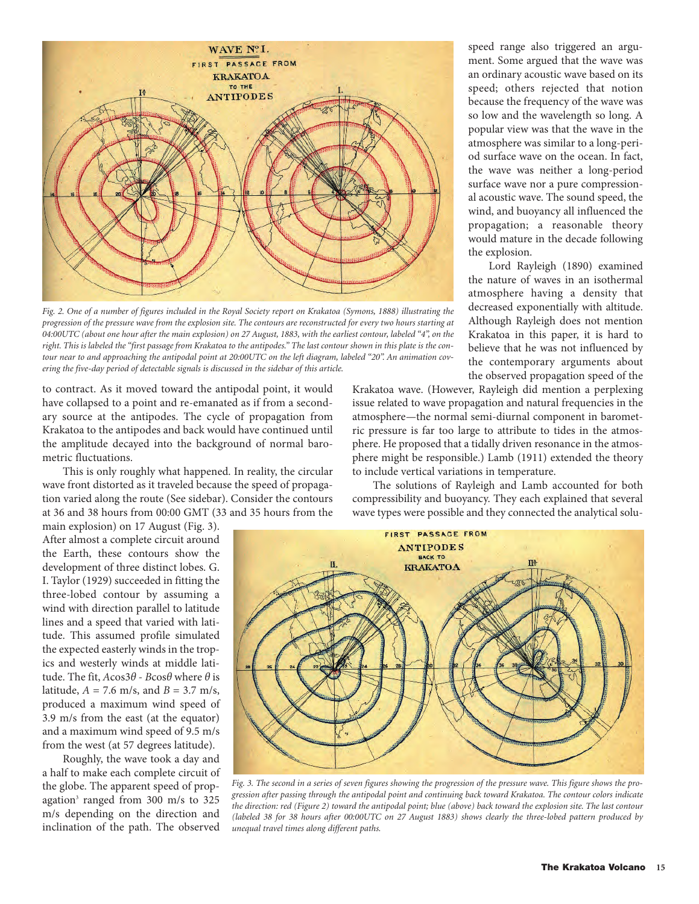

*Fig. 2. One of a number of figures included in the Royal Society report on Krakatoa (Symons, 1888) illustrating the progression of the pressure wave from the explosion site. The contours are reconstructed for every two hours starting at 04:00UTC (about one hour after the main explosion) on 27 August, 1883, with the earliest contour, labeled "4", on the right. This is labeled the "first passage from Krakatoa to the antipodes." The last contour shown in this plate is the contour near to and approaching the antipodal point at 20:00UTC on the left diagram, labeled "20". An animation covering the five-day period of detectable signals is discussed in the sidebar of this article.*

to contract. As it moved toward the antipodal point, it would have collapsed to a point and re-emanated as if from a secondary source at the antipodes. The cycle of propagation from Krakatoa to the antipodes and back would have continued until the amplitude decayed into the background of normal barometric fluctuations.

This is only roughly what happened. In reality, the circular wave front distorted as it traveled because the speed of propagation varied along the route (See sidebar). Consider the contours at 36 and 38 hours from 00:00 GMT (33 and 35 hours from the

main explosion) on 17 August (Fig. 3). After almost a complete circuit around the Earth, these contours show the development of three distinct lobes. G. I. Taylor (1929) succeeded in fitting the three-lobed contour by assuming a wind with direction parallel to latitude lines and a speed that varied with latitude. This assumed profile simulated the expected easterly winds in the tropics and westerly winds at middle latitude. The fit, *A*cos3*θ* - *B*cos*θ* where *θ* is latitude,  $A = 7.6$  m/s, and  $B = 3.7$  m/s, produced a maximum wind speed of 3.9 m/s from the east (at the equator) and a maximum wind speed of 9.5 m/s from the west (at 57 degrees latitude).

Roughly, the wave took a day and a half to make each complete circuit of the globe. The apparent speed of propagation<sup>3</sup> ranged from  $300 \text{ m/s}$  to  $325$ m/s depending on the direction and inclination of the path. The observed

speed range also triggered an argument. Some argued that the wave was an ordinary acoustic wave based on its speed; others rejected that notion because the frequency of the wave was so low and the wavelength so long. A popular view was that the wave in the atmosphere was similar to a long-period surface wave on the ocean. In fact, the wave was neither a long-period surface wave nor a pure compressional acoustic wave. The sound speed, the wind, and buoyancy all influenced the propagation; a reasonable theory would mature in the decade following the explosion.

Lord Rayleigh (1890) examined the nature of waves in an isothermal atmosphere having a density that decreased exponentially with altitude. Although Rayleigh does not mention Krakatoa in this paper, it is hard to believe that he was not influenced by the contemporary arguments about the observed propagation speed of the

Krakatoa wave. (However, Rayleigh did mention a perplexing issue related to wave propagation and natural frequencies in the atmosphere—the normal semi-diurnal component in barometric pressure is far too large to attribute to tides in the atmosphere. He proposed that a tidally driven resonance in the atmosphere might be responsible.) Lamb (1911) extended the theory to include vertical variations in temperature.

The solutions of Rayleigh and Lamb accounted for both compressibility and buoyancy. They each explained that several wave types were possible and they connected the analytical solu-



*Fig. 3. The second in a series of seven figures showing the progression of the pressure wave. This figure shows the progression after passing through the antipodal point and continuing back toward Krakatoa. The contour colors indicate the direction: red (Figure 2) toward the antipodal point; blue (above) back toward the explosion site. The last contour (labeled 38 for 38 hours after 00:00UTC on 27 August 1883) shows clearly the three-lobed pattern produced by unequal travel times along different paths.*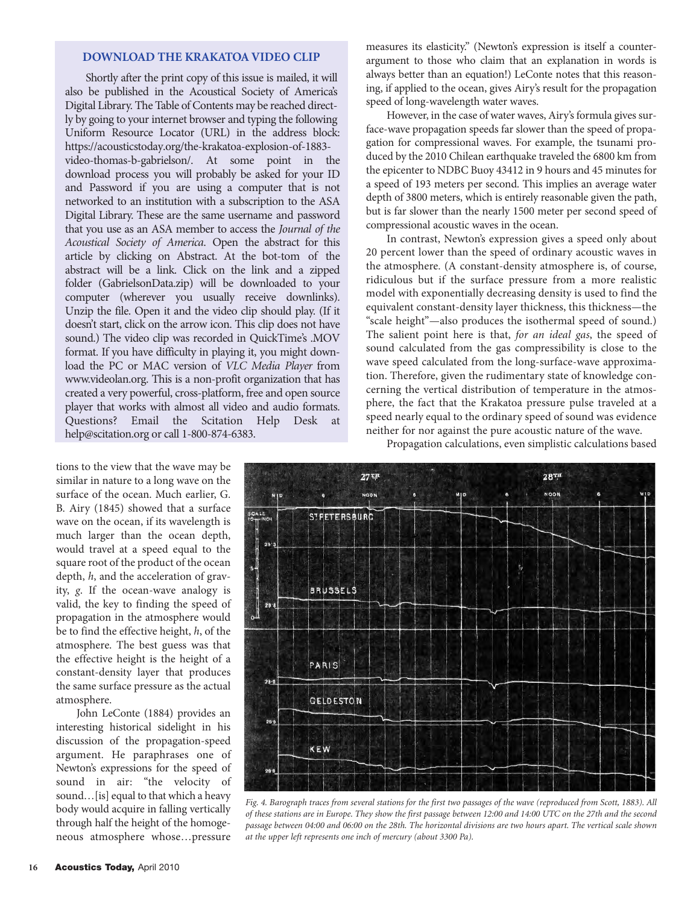### **[DOWNLOAD THE KRAKATOA](https://acousticstoday.org/the-krakatoa-explosion-of-1883-video-thomas-b-gabrielson/) VIDEO CLIP**

Shortly after the print copy of this issue is mailed, it will also be published in the Acoustical Society of America's Digital Library. The Table of Contents may be reached directly by going to your internet browser and typing the following Uniform Resource Locator (URL) in the address block: [https://acousticstoday.org/the-krakatoa-explosion-of-1883](https://acousticstoday.org/the-krakatoa-explosion-of-1883-video-thomas-b-gabrielson/) video-thomas-b-gabrielson/. At some point in the download process you will probably be asked for your ID and Password if you are using a computer that is not networked to an institution with a subscription to the ASA Digital Library. These are the same username and password that you use as an ASA member to access the *Journal of the Acoustical Society of America*. Open the abstract for this article by clicking on Abstract. At the bot-tom of the abstract will be a link. Click on the link and a zipped folder (GabrielsonData.zip) will be downloaded to your computer (wherever you usually receive downlinks). Unzip the file. Open it and the video clip should play. (If it doesn't start, click on the arrow icon. This clip does not have sound.) The video clip was recorded in QuickTime's .MOV format. If you have difficulty in playing it, you might download the PC or MAC version of *VLC Media Player* from www.videolan.org. This is a non-profit organization that has created a very powerful, cross-platform, free and open source player that works with almost all video and audio formats. Questions? Email the Scitation Help Desk at help@scitation.org or call 1-800-874-6383.

tions to the view that the wave may be similar in nature to a long wave on the surface of the ocean. Much earlier, G. B. Airy (1845) showed that a surface wave on the ocean, if its wavelength is much larger than the ocean depth, would travel at a speed equal to the square root of the product of the ocean depth, *h*, and the acceleration of gravity, *g*. If the ocean-wave analogy is valid, the key to finding the speed of propagation in the atmosphere would be to find the effective height, *h*, of the atmosphere. The best guess was that the effective height is the height of a constant-density layer that produces the same surface pressure as the actual atmosphere.

John LeConte (1884) provides an interesting historical sidelight in his discussion of the propagation-speed argument. He paraphrases one of Newton's expressions for the speed of sound in air: "the velocity of sound…[is] equal to that which a heavy body would acquire in falling vertically through half the height of the homogeneous atmosphere whose…pressure

measures its elasticity." (Newton's expression is itself a counterargument to those who claim that an explanation in words is always better than an equation!) LeConte notes that this reasoning, if applied to the ocean, gives Airy's result for the propagation speed of long-wavelength water waves.

However, in the case of water waves, Airy's formula gives surface-wave propagation speeds far slower than the speed of propagation for compressional waves. For example, the tsunami produced by the 2010 Chilean earthquake traveled the 6800 km from the epicenter to NDBC Buoy 43412 in 9 hours and 45 minutes for a speed of 193 meters per second. This implies an average water depth of 3800 meters, which is entirely reasonable given the path, but is far slower than the nearly 1500 meter per second speed of compressional acoustic waves in the ocean.

In contrast, Newton's expression gives a speed only about 20 percent lower than the speed of ordinary acoustic waves in the atmosphere. (A constant-density atmosphere is, of course, ridiculous but if the surface pressure from a more realistic model with exponentially decreasing density is used to find the equivalent constant-density layer thickness, this thickness—the "scale height"—also produces the isothermal speed of sound.) The salient point here is that, *for an ideal gas*, the speed of sound calculated from the gas compressibility is close to the wave speed calculated from the long-surface-wave approximation. Therefore, given the rudimentary state of knowledge concerning the vertical distribution of temperature in the atmosphere, the fact that the Krakatoa pressure pulse traveled at a speed nearly equal to the ordinary speed of sound was evidence neither for nor against the pure acoustic nature of the wave.

Propagation calculations, even simplistic calculations based



*Fig. 4. Barograph traces from several stations for the first two passages of the wave (reproduced from Scott, 1883). All of these stations are in Europe. They show the first passage between 12:00 and 14:00 UTC on the 27th and the second passage between 04:00 and 06:00 on the 28th. The horizontal divisions are two hours apart. The vertical scale shown at the upper left represents one inch of mercury (about 3300 Pa).*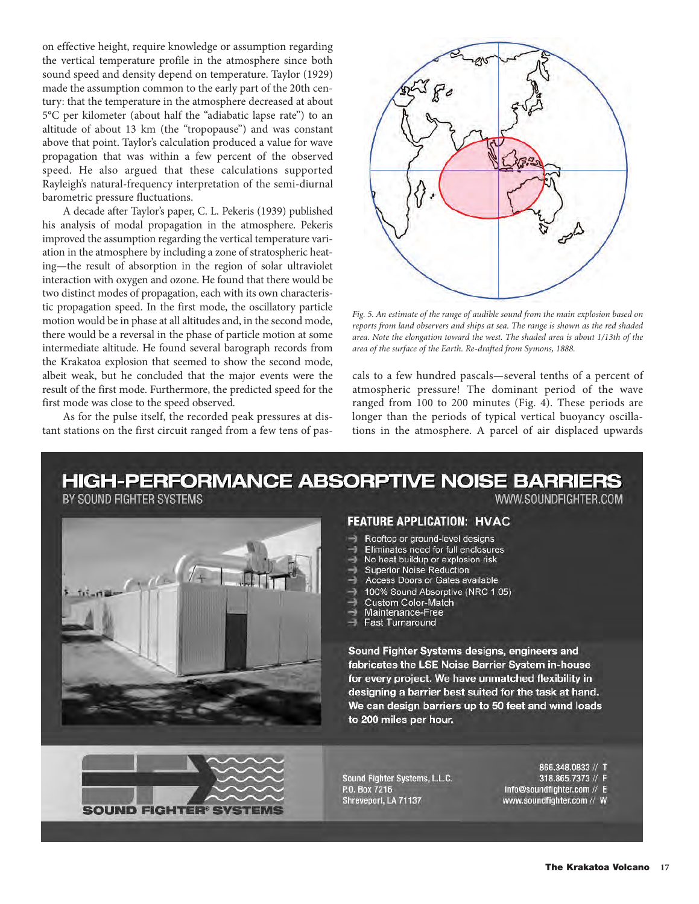on effective height, require knowledge or assumption regarding the vertical temperature profile in the atmosphere since both sound speed and density depend on temperature. Taylor (1929) made the assumption common to the early part of the 20th century: that the temperature in the atmosphere decreased at about 5°C per kilometer (about half the "adiabatic lapse rate") to an altitude of about 13 km (the "tropopause") and was constant above that point. Taylor's calculation produced a value for wave propagation that was within a few percent of the observed speed. He also argued that these calculations supported Rayleigh's natural-frequency interpretation of the semi-diurnal barometric pressure fluctuations.

A decade after Taylor's paper, C. L. Pekeris (1939) published his analysis of modal propagation in the atmosphere. Pekeris improved the assumption regarding the vertical temperature variation in the atmosphere by including a zone of stratospheric heating—the result of absorption in the region of solar ultraviolet interaction with oxygen and ozone. He found that there would be two distinct modes of propagation, each with its own characteristic propagation speed. In the first mode, the oscillatory particle motion would be in phase at all altitudes and, in the second mode, there would be a reversal in the phase of particle motion at some intermediate altitude. He found several barograph records from the Krakatoa explosion that seemed to show the second mode, albeit weak, but he concluded that the major events were the result of the first mode. Furthermore, the predicted speed for the first mode was close to the speed observed.

As for the pulse itself, the recorded peak pressures at distant stations on the first circuit ranged from a few tens of pas-



*Fig. 5. An estimate of the range of audible sound from the main explosion based on reports from land observers and ships at sea. The range is shown as the red shaded area. Note the elongation toward the west. The shaded area is about 1/13th of the area of the surface of the Earth. Re-drafted from Symons, 1888.*

cals to a few hundred pascals—several tenths of a percent of atmospheric pressure! The dominant period of the wave ranged from 100 to 200 minutes (Fig. 4). These periods are longer than the periods of typical vertical buoyancy oscillations in the atmosphere. A parcel of air displaced upwards

# **HIGH-PERFORMANCE ABSORPTIVE NOISE BARRIERS**

BY SOUND FIGHTER SYSTEMS





#### **FEATURE APPLICATION: HVAC**

- Rooftop or ground-level designs
- Eliminates need for full enclosures
- No heat buildup or explosion risk
- **Superior Noise Reduction**
- Access Doors or Gates available
- 100% Sound Absorptive (NRC 1.05)
- Custom Color-Match
- Maintenance-Free
- **Fast Turnaround**

Sound Fighter Systems designs, engineers and fabricates the LSE Noise Barrier System in-house for every project. We have unmatched flexibility in designing a barrier best suited for the task at hand. We can design barriers up to 50 feet and wind loads to 200 miles per hour.

Sound Fighter Systems, L.L.C. P.O. Box 7216 Shreveport, LA 71137

866.348.0833 // T

WWW.SOUNDFIGHTER.COM

318.865.7373 // F

info@soundfighter.com // E www.soundfighter.com // W

**The Krakatoa Volcano 17**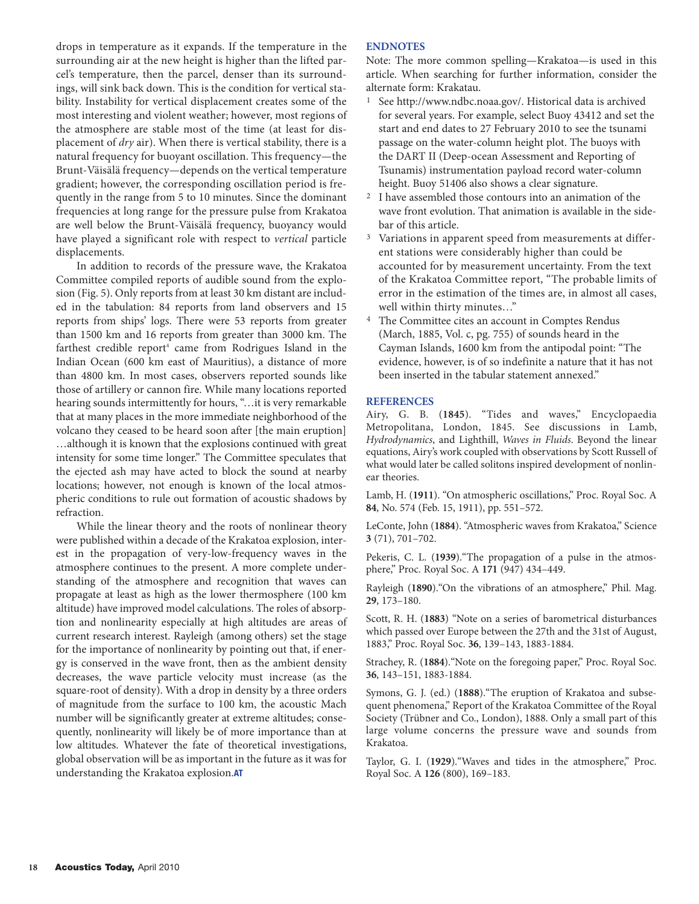drops in temperature as it expands. If the temperature in the surrounding air at the new height is higher than the lifted parcel's temperature, then the parcel, denser than its surroundings, will sink back down. This is the condition for vertical stability. Instability for vertical displacement creates some of the most interesting and violent weather; however, most regions of the atmosphere are stable most of the time (at least for displacement of *dry* air). When there is vertical stability, there is a natural frequency for buoyant oscillation. This frequency—the Brunt-Väisälä frequency—depends on the vertical temperature gradient; however, the corresponding oscillation period is frequently in the range from 5 to 10 minutes. Since the dominant frequencies at long range for the pressure pulse from Krakatoa are well below the Brunt-Väisälä frequency, buoyancy would have played a significant role with respect to *vertical* particle displacements.

In addition to records of the pressure wave, the Krakatoa Committee compiled reports of audible sound from the explosion (Fig. 5). Only reports from at least 30 km distant are included in the tabulation: 84 reports from land observers and 15 reports from ships' logs. There were 53 reports from greater than 1500 km and 16 reports from greater than 3000 km. The farthest credible report<sup>4</sup> came from Rodrigues Island in the Indian Ocean (600 km east of Mauritius), a distance of more than 4800 km. In most cases, observers reported sounds like those of artillery or cannon fire. While many locations reported hearing sounds intermittently for hours, "…it is very remarkable that at many places in the more immediate neighborhood of the volcano they ceased to be heard soon after [the main eruption] …although it is known that the explosions continued with great intensity for some time longer." The Committee speculates that the ejected ash may have acted to block the sound at nearby locations; however, not enough is known of the local atmospheric conditions to rule out formation of acoustic shadows by refraction.

While the linear theory and the roots of nonlinear theory were published within a decade of the Krakatoa explosion, interest in the propagation of very-low-frequency waves in the atmosphere continues to the present. A more complete understanding of the atmosphere and recognition that waves can propagate at least as high as the lower thermosphere (100 km altitude) have improved model calculations. The roles of absorption and nonlinearity especially at high altitudes are areas of current research interest. Rayleigh (among others) set the stage for the importance of nonlinearity by pointing out that, if energy is conserved in the wave front, then as the ambient density decreases, the wave particle velocity must increase (as the square-root of density). With a drop in density by a three orders of magnitude from the surface to 100 km, the acoustic Mach number will be significantly greater at extreme altitudes; consequently, nonlinearity will likely be of more importance than at low altitudes. Whatever the fate of theoretical investigations, global observation will be as important in the future as it was for understanding the Krakatoa explosion.**AT**

#### **ENDNOTES**

Note: The more common spelling—Krakatoa—is used in this article. When searching for further information, consider the alternate form: Krakatau.

- See http://www.ndbc.noaa.gov/. Historical data is archived for several years. For example, select Buoy 43412 and set the start and end dates to 27 February 2010 to see the tsunami passage on the water-column height plot. The buoys with the DART II (Deep-ocean Assessment and Reporting of Tsunamis) instrumentation payload record water-column height. Buoy 51406 also shows a clear signature.
- I have assembled those contours into an animation of the wave front evolution. That animation is available in the sidebar of this article.
- Variations in apparent speed from measurements at different stations were considerably higher than could be accounted for by measurement uncertainty. From the text of the Krakatoa Committee report, "The probable limits of error in the estimation of the times are, in almost all cases, well within thirty minutes…"
- 4 The Committee cites an account in Comptes Rendus (March, 1885, Vol. c, pg. 755) of sounds heard in the Cayman Islands, 1600 km from the antipodal point: "The evidence, however, is of so indefinite a nature that it has not been inserted in the tabular statement annexed."

#### **REFERENCES**

Airy, G. B. (**1845**). "Tides and waves," Encyclopaedia Metropolitana, London, 1845. See discussions in Lamb, *Hydrodynamics*, and Lighthill, *Waves in Fluids*. Beyond the linear equations, Airy's work coupled with observations by Scott Russell of what would later be called solitons inspired development of nonlinear theories.

Lamb, H. (**1911**). "On atmospheric oscillations," Proc. Royal Soc. A **84**, No. 574 (Feb. 15, 1911), pp. 551–572.

LeConte, John (**1884**). "Atmospheric waves from Krakatoa," Science **3** (71), 701–702.

Pekeris, C. L. (**1939**)."The propagation of a pulse in the atmosphere," Proc. Royal Soc. A **171** (947) 434–449.

Rayleigh (**1890**)."On the vibrations of an atmosphere," Phil. Mag. **29**, 173–180.

Scott, R. H. (**1883**) "Note on a series of barometrical disturbances which passed over Europe between the 27th and the 31st of August, 1883," Proc. Royal Soc. **36**, 139–143, 1883-1884.

Strachey, R. (**1884**)."Note on the foregoing paper," Proc. Royal Soc. **36**, 143–151, 1883-1884.

Symons, G. J. (ed.) (**1888**)."The eruption of Krakatoa and subsequent phenomena," Report of the Krakatoa Committee of the Royal Society (Trübner and Co., London), 1888. Only a small part of this large volume concerns the pressure wave and sounds from Krakatoa.

Taylor, G. I. (**1929**)."Waves and tides in the atmosphere," Proc. Royal Soc. A **126** (800), 169–183.